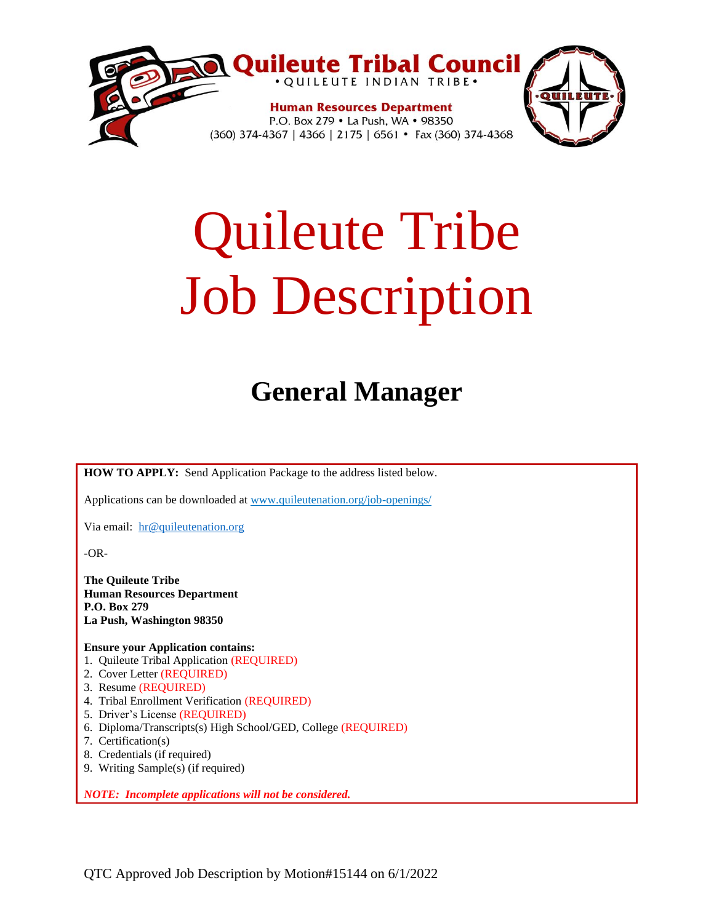

# Quileute Tribe Job Description

## **General Manager**

**HOW TO APPLY:** Send Application Package to the address listed below.

Applications can be downloaded at www.quileutenation.org/job-openings/

Via email: [hr@quileutenation.org](mailto:hr@quileutenation.org)

-OR-

**The Quileute Tribe Human Resources Department P.O. Box 279 La Push, Washington 98350**

**Ensure your Application contains:**

- 1. Quileute Tribal Application (REQUIRED)
- 2. Cover Letter (REQUIRED)
- 3. Resume (REQUIRED)
- 4. Tribal Enrollment Verification (REQUIRED)
- 5. Driver's License (REQUIRED)
- 6. Diploma/Transcripts(s) High School/GED, College (REQUIRED)
- 7. Certification(s)
- 8. Credentials (if required)
- 9. Writing Sample(s) (if required)

*NOTE: Incomplete applications will not be considered.*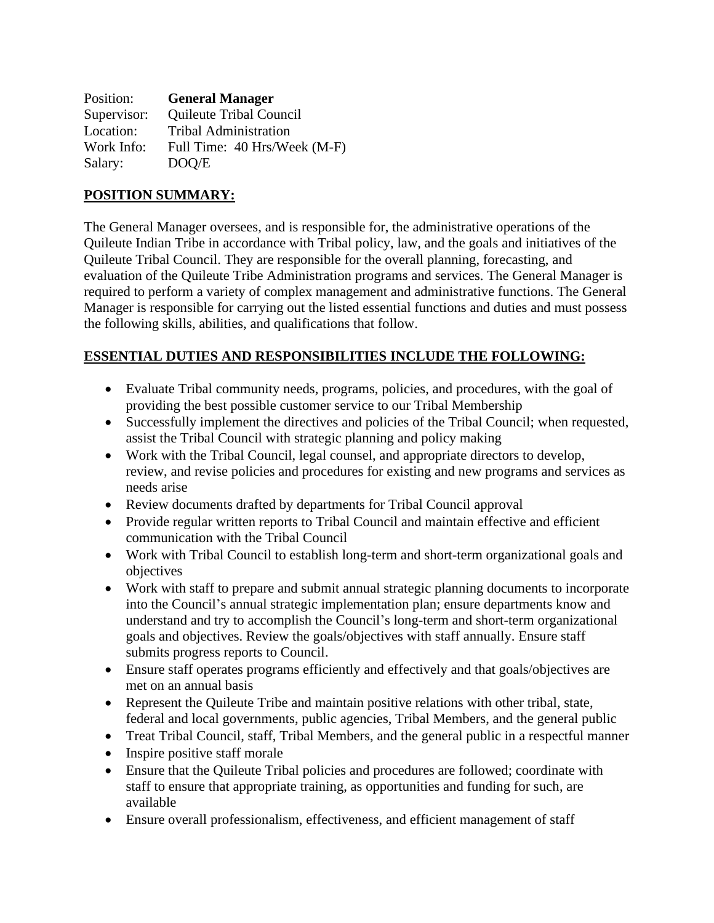| Position:   | <b>General Manager</b>       |
|-------------|------------------------------|
| Supervisor: | Quileute Tribal Council      |
| Location:   | <b>Tribal Administration</b> |
| Work Info:  | Full Time: 40 Hrs/Week (M-F) |
| Salary:     | DOO/E                        |

#### **POSITION SUMMARY:**

The General Manager oversees, and is responsible for, the administrative operations of the Quileute Indian Tribe in accordance with Tribal policy, law, and the goals and initiatives of the Quileute Tribal Council. They are responsible for the overall planning, forecasting, and evaluation of the Quileute Tribe Administration programs and services. The General Manager is required to perform a variety of complex management and administrative functions. The General Manager is responsible for carrying out the listed essential functions and duties and must possess the following skills, abilities, and qualifications that follow.

#### **ESSENTIAL DUTIES AND RESPONSIBILITIES INCLUDE THE FOLLOWING:**

- Evaluate Tribal community needs, programs, policies, and procedures, with the goal of providing the best possible customer service to our Tribal Membership
- Successfully implement the directives and policies of the Tribal Council; when requested, assist the Tribal Council with strategic planning and policy making
- Work with the Tribal Council, legal counsel, and appropriate directors to develop, review, and revise policies and procedures for existing and new programs and services as needs arise
- Review documents drafted by departments for Tribal Council approval
- Provide regular written reports to Tribal Council and maintain effective and efficient communication with the Tribal Council
- Work with Tribal Council to establish long-term and short-term organizational goals and objectives
- Work with staff to prepare and submit annual strategic planning documents to incorporate into the Council's annual strategic implementation plan; ensure departments know and understand and try to accomplish the Council's long-term and short-term organizational goals and objectives. Review the goals/objectives with staff annually. Ensure staff submits progress reports to Council.
- Ensure staff operates programs efficiently and effectively and that goals/objectives are met on an annual basis
- Represent the Quileute Tribe and maintain positive relations with other tribal, state, federal and local governments, public agencies, Tribal Members, and the general public
- Treat Tribal Council, staff, Tribal Members, and the general public in a respectful manner
- Inspire positive staff morale
- Ensure that the Quileute Tribal policies and procedures are followed; coordinate with staff to ensure that appropriate training, as opportunities and funding for such, are available
- Ensure overall professionalism, effectiveness, and efficient management of staff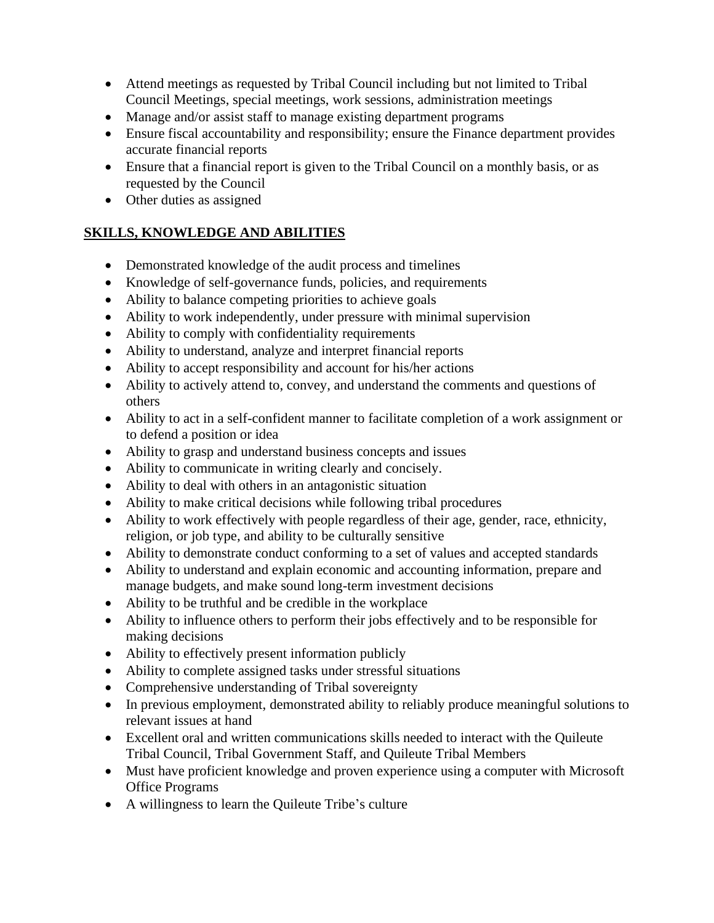- Attend meetings as requested by Tribal Council including but not limited to Tribal Council Meetings, special meetings, work sessions, administration meetings
- Manage and/or assist staff to manage existing department programs
- Ensure fiscal accountability and responsibility; ensure the Finance department provides accurate financial reports
- Ensure that a financial report is given to the Tribal Council on a monthly basis, or as requested by the Council
- Other duties as assigned

#### **SKILLS, KNOWLEDGE AND ABILITIES**

- Demonstrated knowledge of the audit process and timelines
- Knowledge of self-governance funds, policies, and requirements
- Ability to balance competing priorities to achieve goals
- Ability to work independently, under pressure with minimal supervision
- Ability to comply with confidentiality requirements
- Ability to understand, analyze and interpret financial reports
- Ability to accept responsibility and account for his/her actions
- Ability to actively attend to, convey, and understand the comments and questions of others
- Ability to act in a self-confident manner to facilitate completion of a work assignment or to defend a position or idea
- Ability to grasp and understand business concepts and issues
- Ability to communicate in writing clearly and concisely.
- Ability to deal with others in an antagonistic situation
- Ability to make critical decisions while following tribal procedures
- Ability to work effectively with people regardless of their age, gender, race, ethnicity, religion, or job type, and ability to be culturally sensitive
- Ability to demonstrate conduct conforming to a set of values and accepted standards
- Ability to understand and explain economic and accounting information, prepare and manage budgets, and make sound long-term investment decisions
- Ability to be truthful and be credible in the workplace
- Ability to influence others to perform their jobs effectively and to be responsible for making decisions
- Ability to effectively present information publicly
- Ability to complete assigned tasks under stressful situations
- Comprehensive understanding of Tribal sovereignty
- In previous employment, demonstrated ability to reliably produce meaningful solutions to relevant issues at hand
- Excellent oral and written communications skills needed to interact with the Quileute Tribal Council, Tribal Government Staff, and Quileute Tribal Members
- Must have proficient knowledge and proven experience using a computer with Microsoft Office Programs
- A willingness to learn the Quileute Tribe's culture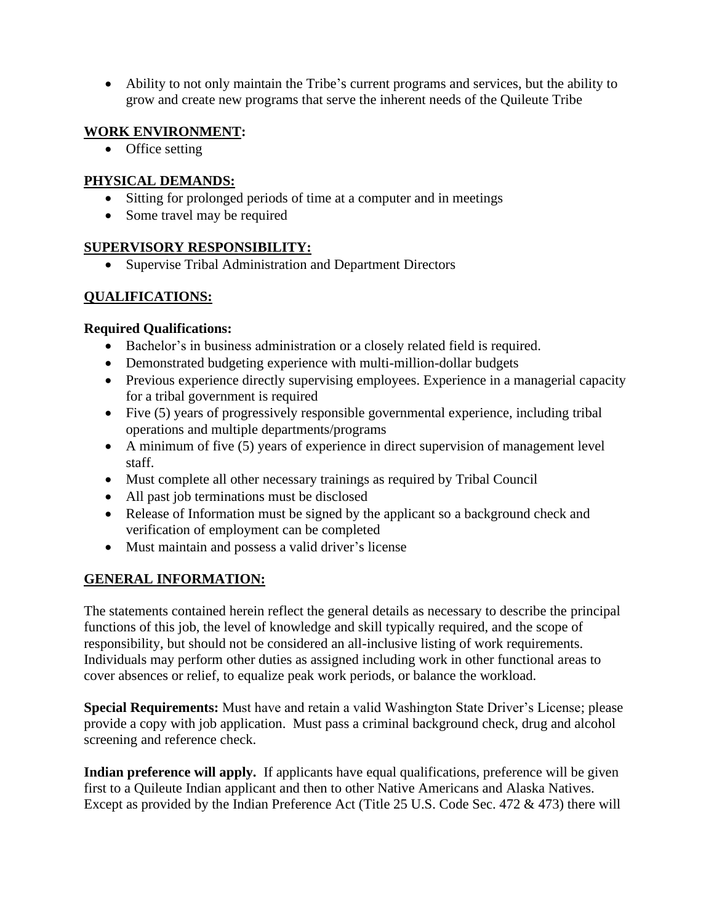• Ability to not only maintain the Tribe's current programs and services, but the ability to grow and create new programs that serve the inherent needs of the Quileute Tribe

#### **WORK ENVIRONMENT:**

• Office setting

#### **PHYSICAL DEMANDS:**

- Sitting for prolonged periods of time at a computer and in meetings
- Some travel may be required

#### **SUPERVISORY RESPONSIBILITY:**

• Supervise Tribal Administration and Department Directors

### **QUALIFICATIONS:**

#### **Required Qualifications:**

- Bachelor's in business administration or a closely related field is required.
- Demonstrated budgeting experience with multi-million-dollar budgets
- Previous experience directly supervising employees. Experience in a managerial capacity for a tribal government is required
- Five (5) years of progressively responsible governmental experience, including tribal operations and multiple departments/programs
- A minimum of five (5) years of experience in direct supervision of management level staff.
- Must complete all other necessary trainings as required by Tribal Council
- All past job terminations must be disclosed
- Release of Information must be signed by the applicant so a background check and verification of employment can be completed
- Must maintain and possess a valid driver's license

#### **GENERAL INFORMATION:**

The statements contained herein reflect the general details as necessary to describe the principal functions of this job, the level of knowledge and skill typically required, and the scope of responsibility, but should not be considered an all-inclusive listing of work requirements. Individuals may perform other duties as assigned including work in other functional areas to cover absences or relief, to equalize peak work periods, or balance the workload.

**Special Requirements:** Must have and retain a valid Washington State Driver's License; please provide a copy with job application. Must pass a criminal background check, drug and alcohol screening and reference check.

**Indian preference will apply.** If applicants have equal qualifications, preference will be given first to a Quileute Indian applicant and then to other Native Americans and Alaska Natives. Except as provided by the Indian Preference Act (Title 25 U.S. Code Sec. 472 & 473) there will